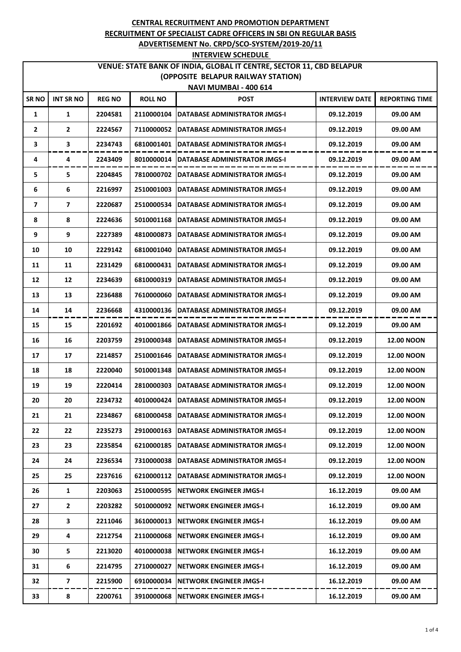# **VENUE: STATE BANK OF INDIA, GLOBAL IT CENTRE, SECTOR 11, CBD BELAPUR (OPPOSITE BELAPUR RAILWAY STATION)**

| <b>NAVI MUMBAI - 400 614</b> |                  |               |                |                                            |                       |                       |  |  |
|------------------------------|------------------|---------------|----------------|--------------------------------------------|-----------------------|-----------------------|--|--|
| SR NO                        | <b>INT SR NO</b> | <b>REG NO</b> | <b>ROLL NO</b> | <b>POST</b>                                | <b>INTERVIEW DATE</b> | <b>REPORTING TIME</b> |  |  |
| 1                            | 1                | 2204581       | 2110000104     | DATABASE ADMINISTRATOR JMGS-I              | 09.12.2019            | 09.00 AM              |  |  |
| 2                            | $\mathbf{2}$     | 2224567       | 7110000052     | DATABASE ADMINISTRATOR JMGS-I              | 09.12.2019            | 09.00 AM              |  |  |
| З                            | 3                | 2234743       | 6810001401     | DATABASE ADMINISTRATOR JMGS-I              | 09.12.2019            | 09.00 AM              |  |  |
| 4                            | 4                | 2243409       | 8010000014     | DATABASE ADMINISTRATOR JMGS-I              | 09.12.2019            | 09.00 AM              |  |  |
| 5                            | 5                | 2204845       | 7810000702     | <b>DATABASE ADMINISTRATOR JMGS-I</b>       | 09.12.2019            | 09.00 AM              |  |  |
| 6                            | 6                | 2216997       | 2510001003     | <b>DATABASE ADMINISTRATOR JMGS-I</b>       | 09.12.2019            | 09.00 AM              |  |  |
| 7                            | 7                | 2220687       | 2510000534     | DATABASE ADMINISTRATOR JMGS-I              | 09.12.2019            | 09.00 AM              |  |  |
| 8                            | 8                | 2224636       | 5010001168     | DATABASE ADMINISTRATOR JMGS-I              | 09.12.2019            | 09.00 AM              |  |  |
| 9                            | 9                | 2227389       | 4810000873     | DATABASE ADMINISTRATOR JMGS-I              | 09.12.2019            | 09.00 AM              |  |  |
| 10                           | 10               | 2229142       | 6810001040     | DATABASE ADMINISTRATOR JMGS-I              | 09.12.2019            | 09.00 AM              |  |  |
| 11                           | 11               | 2231429       | 6810000431     | DATABASE ADMINISTRATOR JMGS-I              | 09.12.2019            | 09.00 AM              |  |  |
| 12                           | 12               | 2234639       | 6810000319     | DATABASE ADMINISTRATOR JMGS-I              | 09.12.2019            | 09.00 AM              |  |  |
| 13                           | 13               | 2236488       | 7610000060     | DATABASE ADMINISTRATOR JMGS-I              | 09.12.2019            | 09.00 AM              |  |  |
| 14                           | 14               | 2236668       | 4310000136     | DATABASE ADMINISTRATOR JMGS-I              | 09.12.2019            | 09.00 AM              |  |  |
| 15                           | 15               | 2201692       | 4010001866     | DATABASE ADMINISTRATOR JMGS-I              | 09.12.2019            | 09.00 AM              |  |  |
| 16                           | 16               | 2203759       | 2910000348     | DATABASE ADMINISTRATOR JMGS-I              | 09.12.2019            | <b>12.00 NOON</b>     |  |  |
| 17                           | 17               | 2214857       | 2510001646     | DATABASE ADMINISTRATOR JMGS-I              | 09.12.2019            | <b>12.00 NOON</b>     |  |  |
| 18                           | 18               | 2220040       | 5010001348     | DATABASE ADMINISTRATOR JMGS-I              | 09.12.2019            | <b>12.00 NOON</b>     |  |  |
| 19                           | 19               | 2220414       | 2810000303     | <b>DATABASE ADMINISTRATOR JMGS-I</b>       | 09.12.2019            | <b>12.00 NOON</b>     |  |  |
| 20                           | 20               | 2234732       | 4010000424     | DATABASE ADMINISTRATOR JMGS-I              | 09.12.2019            | <b>12.00 NOON</b>     |  |  |
| 21                           | 21               | 2234867       | 6810000458     | DATABASE ADMINISTRATOR JMGS-I              | 09.12.2019            | <b>12.00 NOON</b>     |  |  |
| 22                           | 22               | 2235273       |                | 2910000163   DATABASE ADMINISTRATOR JMGS-I | 09.12.2019            | <b>12.00 NOON</b>     |  |  |
| 23                           | 23               | 2235854       | 6210000185     | DATABASE ADMINISTRATOR JMGS-I              | 09.12.2019            | <b>12.00 NOON</b>     |  |  |
| 24                           | 24               | 2236534       | 7310000038     | <b>DATABASE ADMINISTRATOR JMGS-I</b>       | 09.12.2019            | <b>12.00 NOON</b>     |  |  |
| 25                           | 25               | 2237616       |                | 6210000112   DATABASE ADMINISTRATOR JMGS-I | 09.12.2019            | <b>12.00 NOON</b>     |  |  |
| 26                           | 1                | 2203063       | 2510000595     | <b>NETWORK ENGINEER JMGS-I</b>             | 16.12.2019            | 09.00 AM              |  |  |
| 27                           | $\mathbf{2}$     | 2203282       |                | 5010000092 NETWORK ENGINEER JMGS-I         | 16.12.2019            | 09.00 AM              |  |  |
| 28                           | 3                | 2211046       | 3610000013     | <b>NETWORK ENGINEER JMGS-I</b>             | 16.12.2019            | 09.00 AM              |  |  |
| 29                           | 4                | 2212754       | 2110000068     | <b>NETWORK ENGINEER JMGS-I</b>             | 16.12.2019            | 09.00 AM              |  |  |
| 30                           | 5                | 2213020       | 4010000038     | <b>NETWORK ENGINEER JMGS-I</b>             | 16.12.2019            | 09.00 AM              |  |  |
| 31                           | 6                | 2214795       | 2710000027     | <b>NETWORK ENGINEER JMGS-I</b>             | 16.12.2019            | 09.00 AM              |  |  |
| 32                           | 7                | 2215900       |                | 6910000034 NETWORK ENGINEER JMGS-I         | 16.12.2019            | 09.00 AM              |  |  |
| 33                           | 8                | 2200761       |                | 3910000068   NETWORK ENGINEER JMGS-I       | 16.12.2019            | 09.00 AM              |  |  |
|                              |                  |               |                |                                            |                       |                       |  |  |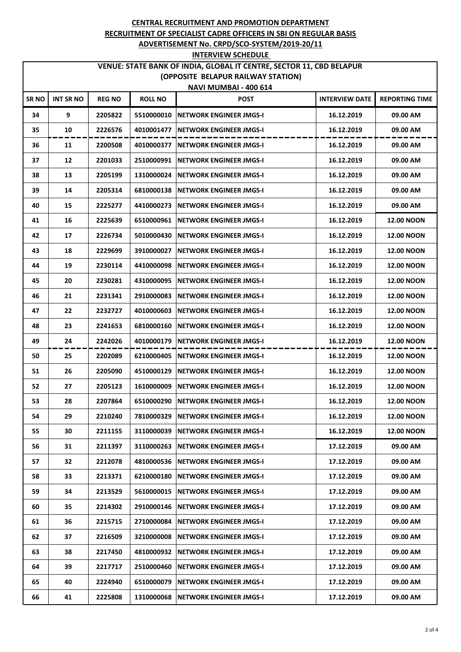# **VENUE: STATE BANK OF INDIA, GLOBAL IT CENTRE, SECTOR 11, CBD BELAPUR (OPPOSITE BELAPUR RAILWAY STATION)**

| <b>NAVI MUMBAI - 400 614</b> |                  |               |                |                                |                       |                       |  |
|------------------------------|------------------|---------------|----------------|--------------------------------|-----------------------|-----------------------|--|
| <b>SRNO</b>                  | <b>INT SR NO</b> | <b>REG NO</b> | <b>ROLL NO</b> | <b>POST</b>                    | <b>INTERVIEW DATE</b> | <b>REPORTING TIME</b> |  |
| 34                           | 9                | 2205822       | 5510000010     | NETWORK ENGINEER JMGS-I        | 16.12.2019            | 09.00 AM              |  |
| 35                           | 10               | 2226576       | 4010001477     | NETWORK ENGINEER JMGS-I        | 16.12.2019            | 09.00 AM              |  |
| 36                           | 11               | 2200508       | 4010000377     | NETWORK ENGINEER JMGS-I        | 16.12.2019            | 09.00 AM              |  |
| 37                           | 12               | 2201033       | 2510000991     | NETWORK ENGINEER JMGS-I        | 16.12.2019            | 09.00 AM              |  |
| 38                           | 13               | 2205199       | 1310000024     | <b>NETWORK ENGINEER JMGS-I</b> | 16.12.2019            | 09.00 AM              |  |
| 39                           | 14               | 2205314       | 6810000138     | <b>NETWORK ENGINEER JMGS-I</b> | 16.12.2019            | 09.00 AM              |  |
| 40                           | 15               | 2225277       | 4410000273     | NETWORK ENGINEER JMGS-I        | 16.12.2019            | 09.00 AM              |  |
| 41                           | 16               | 2225639       | 6510000961     | NETWORK ENGINEER JMGS-I        | 16.12.2019            | <b>12.00 NOON</b>     |  |
| 42                           | 17               | 2226734       | 5010000430     | NETWORK ENGINEER JMGS-I        | 16.12.2019            | <b>12.00 NOON</b>     |  |
| 43                           | 18               | 2229699       | 3910000027     | <b>NETWORK ENGINEER JMGS-I</b> | 16.12.2019            | <b>12.00 NOON</b>     |  |
| 44                           | 19               | 2230114       | 4410000098     | <b>NETWORK ENGINEER JMGS-I</b> | 16.12.2019            | <b>12.00 NOON</b>     |  |
| 45                           | 20               | 2230281       | 4310000095     | NETWORK ENGINEER JMGS-I        | 16.12.2019            | <b>12.00 NOON</b>     |  |
| 46                           | 21               | 2231341       | 2910000083     | <b>NETWORK ENGINEER JMGS-I</b> | 16.12.2019            | <b>12.00 NOON</b>     |  |
| 47                           | 22               | 2232727       | 4010000603     | NETWORK ENGINEER JMGS-I        | 16.12.2019            | <b>12.00 NOON</b>     |  |
| 48                           | 23               | 2241653       | 6810000160     | NETWORK ENGINEER JMGS-I        | 16.12.2019            | <b>12.00 NOON</b>     |  |
| 49                           | 24               | 2242026       | 4010000179     | NETWORK ENGINEER JMGS-I        | 16.12.2019            | <b>12.00 NOON</b>     |  |
| 50                           | 25               | 2202089       | 6210000405     | NETWORK ENGINEER JMGS-I        | 16.12.2019            | <b>12.00 NOON</b>     |  |
| 51                           | 26               | 2205090       | 4510000129     | <b>NETWORK ENGINEER JMGS-I</b> | 16.12.2019            | <b>12.00 NOON</b>     |  |
| 52                           | 27               | 2205123       | 1610000009     | NETWORK ENGINEER JMGS-I        | 16.12.2019            | <b>12.00 NOON</b>     |  |
| 53                           | 28               | 2207864       | 6510000290     | NETWORK ENGINEER JMGS-I        | 16.12.2019            | <b>12.00 NOON</b>     |  |
| 54                           | 29               | 2210240       | 7810000329     | <b>NETWORK ENGINEER JMGS-I</b> | 16.12.2019            | <b>12.00 NOON</b>     |  |
| 55                           | 30               | 2211155       | 3110000039     | NETWORK ENGINEER JMGS-I        | 16.12.2019            | <b>12.00 NOON</b>     |  |
| 56                           | 31               | 2211397       | 3110000263     | NETWORK ENGINEER JMGS-I        | 17.12.2019            | 09.00 AM              |  |
| 57                           | 32               | 2212078       | 4810000536     | NETWORK ENGINEER JMGS-I        | 17.12.2019            | 09.00 AM              |  |
| 58                           | 33               | 2213371       | 6210000180     | <b>NETWORK ENGINEER JMGS-I</b> | 17.12.2019            | 09.00 AM              |  |
| 59                           | 34               | 2213529       | 5610000015     | <b>NETWORK ENGINEER JMGS-I</b> | 17.12.2019            | 09.00 AM              |  |
| 60                           | 35               | 2214302       | 2910000146     | <b>NETWORK ENGINEER JMGS-I</b> | 17.12.2019            | 09.00 AM              |  |
| 61                           | 36               | 2215715       | 2710000084     | NETWORK ENGINEER JMGS-I        | 17.12.2019            | 09.00 AM              |  |
| 62                           | 37               | 2216509       | 3210000008     | NETWORK ENGINEER JMGS-I        | 17.12.2019            | 09.00 AM              |  |
| 63                           | 38               | 2217450       | 4810000932     | <b>NETWORK ENGINEER JMGS-I</b> | 17.12.2019            | 09.00 AM              |  |
| 64                           | 39               | 2217717       | 2510000460     | NETWORK ENGINEER JMGS-I        | 17.12.2019            | 09.00 AM              |  |
| 65                           | 40               | 2224940       | 6510000079     | NETWORK ENGINEER JMGS-I        | 17.12.2019            | 09.00 AM              |  |
| 66                           | 41               | 2225808       | 1310000068     | <b>NETWORK ENGINEER JMGS-I</b> | 17.12.2019            | 09.00 AM              |  |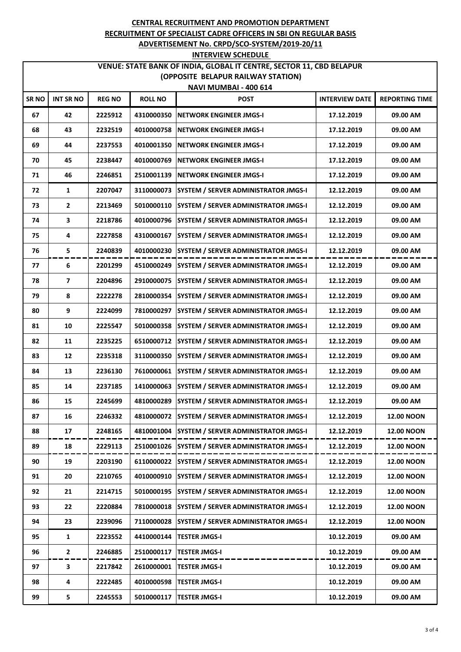# **VENUE: STATE BANK OF INDIA, GLOBAL IT CENTRE, SECTOR 11, CBD BELAPUR (OPPOSITE BELAPUR RAILWAY STATION)**

| NAVI MUMBAI - 400 614 |                  |               |                |                                             |                       |                       |  |
|-----------------------|------------------|---------------|----------------|---------------------------------------------|-----------------------|-----------------------|--|
| SR <sub>NO</sub>      | <b>INT SR NO</b> | <b>REG NO</b> | <b>ROLL NO</b> | <b>POST</b>                                 | <b>INTERVIEW DATE</b> | <b>REPORTING TIME</b> |  |
| 67                    | 42               | 2225912       | 4310000350     | <b>NETWORK ENGINEER JMGS-I</b>              | 17.12.2019            | 09.00 AM              |  |
| 68                    | 43               | 2232519       | 4010000758     | <b>NETWORK ENGINEER JMGS-I</b>              | 17.12.2019            | 09.00 AM              |  |
| 69                    | 44               | 2237553       | 4010001350     | <b>NETWORK ENGINEER JMGS-I</b>              | 17.12.2019            | 09.00 AM              |  |
| 70                    | 45               | 2238447       | 4010000769     | <b>NETWORK ENGINEER JMGS-I</b>              | 17.12.2019            | 09.00 AM              |  |
| 71                    | 46               | 2246851       | 2510001139     | <b>NETWORK ENGINEER JMGS-I</b>              | 17.12.2019            | 09.00 AM              |  |
| 72                    | $\mathbf{1}$     | 2207047       | 3110000073     | <b>SYSTEM / SERVER ADMINISTRATOR JMGS-I</b> | 12.12.2019            | 09.00 AM              |  |
| 73                    | $\mathbf{2}$     | 2213469       | 5010000110     | SYSTEM / SERVER ADMINISTRATOR JMGS-I        | 12.12.2019            | 09.00 AM              |  |
| 74                    | 3                | 2218786       | 4010000796     | SYSTEM / SERVER ADMINISTRATOR JMGS-I        | 12.12.2019            | 09.00 AM              |  |
| 75                    | 4                | 2227858       | 4310000167     | SYSTEM / SERVER ADMINISTRATOR JMGS-I        | 12.12.2019            | 09.00 AM              |  |
| 76                    | 5                | 2240839       | 4010000230     | SYSTEM / SERVER ADMINISTRATOR JMGS-I        | 12.12.2019            | 09.00 AM              |  |
| 77                    | 6                | 2201299       | 4510000249     | SYSTEM / SERVER ADMINISTRATOR JMGS-I        | 12.12.2019            | 09.00 AM              |  |
| 78                    | 7                | 2204896       | 2910000075     | <b>SYSTEM / SERVER ADMINISTRATOR JMGS-I</b> | 12.12.2019            | 09.00 AM              |  |
| 79                    | 8                | 2222278       | 2810000354     | SYSTEM / SERVER ADMINISTRATOR JMGS-I        | 12.12.2019            | 09.00 AM              |  |
| 80                    | 9                | 2224099       | 7810000297     | SYSTEM / SERVER ADMINISTRATOR JMGS-I        | 12.12.2019            | 09.00 AM              |  |
| 81                    | 10               | 2225547       | 5010000358     | SYSTEM / SERVER ADMINISTRATOR JMGS-I        | 12.12.2019            | 09.00 AM              |  |
| 82                    | 11               | 2235225       | 6510000712     | SYSTEM / SERVER ADMINISTRATOR JMGS-I        | 12.12.2019            | 09.00 AM              |  |
| 83                    | 12               | 2235318       | 3110000350     | <b>SYSTEM / SERVER ADMINISTRATOR JMGS-I</b> | 12.12.2019            | 09.00 AM              |  |
| 84                    | 13               | 2236130       | 7610000061     | <b>SYSTEM / SERVER ADMINISTRATOR JMGS-I</b> | 12.12.2019            | 09.00 AM              |  |
| 85                    | 14               | 2237185       | 1410000063     | SYSTEM / SERVER ADMINISTRATOR JMGS-I        | 12.12.2019            | 09.00 AM              |  |
| 86                    | 15               | 2245699       | 4810000289     | SYSTEM / SERVER ADMINISTRATOR JMGS-I        | 12.12.2019            | 09.00 AM              |  |
| 87                    | 16               | 2246332       | 4810000072     | SYSTEM / SERVER ADMINISTRATOR JMGS-I        | 12.12.2019            | <b>12.00 NOON</b>     |  |
| 88                    | 17               | 2248165       | 4810001004     | SYSTEM / SERVER ADMINISTRATOR JMGS-I        | 12.12.2019            | <b>12.00 NOON</b>     |  |
| 89                    | 18               | 2229113       | 2510001026     | <b>SYSTEM / SERVER ADMINISTRATOR JMGS-I</b> | 12.12.2019            | <b>12.00 NOON</b>     |  |
| 90                    | 19               | 2203190       | 6110000022     | <b>SYSTEM / SERVER ADMINISTRATOR JMGS-I</b> | 12.12.2019            | <b>12.00 NOON</b>     |  |
| 91                    | 20               | 2210765       | 4010000910     | SYSTEM / SERVER ADMINISTRATOR JMGS-I        | 12.12.2019            | <b>12.00 NOON</b>     |  |
| 92                    | 21               | 2214715       | 5010000195     | <b>SYSTEM / SERVER ADMINISTRATOR JMGS-I</b> | 12.12.2019            | <b>12.00 NOON</b>     |  |
| 93                    | 22               | 2220884       | 7810000018     | SYSTEM / SERVER ADMINISTRATOR JMGS-I        | 12.12.2019            | <b>12.00 NOON</b>     |  |
| 94                    | 23               | 2239096       | 7110000028     | SYSTEM / SERVER ADMINISTRATOR JMGS-I        | 12.12.2019            | <b>12.00 NOON</b>     |  |
| 95                    | 1                | 2223552       | 4410000144     | <b>TESTER JMGS-I</b>                        | 10.12.2019            | 09.00 AM              |  |
| 96                    | $\mathbf{2}$     | 2246885       | 2510000117     | <b>TESTER JMGS-I</b>                        | 10.12.2019            | 09.00 AM              |  |
| 97                    | 3                | 2217842       | 2610000001     | <b>TESTER JMGS-I</b>                        | 10.12.2019            | 09.00 AM              |  |
| 98                    | 4                | 2222485       | 4010000598     | <b>TESTER JMGS-I</b>                        | 10.12.2019            | 09.00 AM              |  |
| 99                    | 5                | 2245553       | 5010000117     | <b>TESTER JMGS-I</b>                        | 10.12.2019            | 09.00 AM              |  |